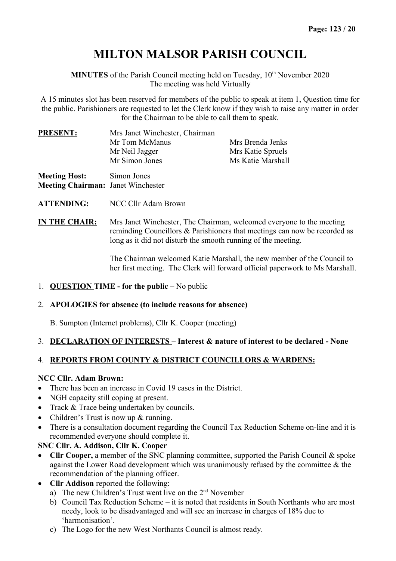# **MILTON MALSOR PARISH COUNCIL**

**MINUTES** of the Parish Council meeting held on Tuesday, 10<sup>th</sup> November 2020 The meeting was held Virtually

A 15 minutes slot has been reserved for members of the public to speak at item 1, Question time for the public. Parishioners are requested to let the Clerk know if they wish to raise any matter in order for the Chairman to be able to call them to speak.

| <b>PRESENT:</b>      | Mrs Janet Winchester, Chairman |                   |
|----------------------|--------------------------------|-------------------|
|                      | Mr Tom McManus                 | Mrs Brenda Jenks  |
|                      | Mr Neil Jagger                 | Mrs Katie Spruels |
|                      | Mr Simon Jones                 | Ms Katie Marshall |
| <b>Meeting Host:</b> | Simon Jones                    |                   |

**Meeting Chairman:** Janet Winchester

**ATTENDING:** NCC Cllr Adam Brown

**IN THE CHAIR:** Mrs Janet Winchester, The Chairman, welcomed everyone to the meeting reminding Councillors & Parishioners that meetings can now be recorded as long as it did not disturb the smooth running of the meeting.

> The Chairman welcomed Katie Marshall, the new member of the Council to her first meeting. The Clerk will forward official paperwork to Ms Marshall.

## 1. **QUESTION TIME - for the public –** No public

#### 2. **APOLOGIES for absence (to include reasons for absence)**

B. Sumpton (Internet problems), Cllr K. Cooper (meeting)

## 3. **DECLARATION OF INTERESTS – Interest & nature of interest to be declared - None**

## 4. **REPORTS FROM COUNTY & DISTRICT COUNCILLORS & WARDENS:**

#### **NCC Cllr. Adam Brown:**

- There has been an increase in Covid 19 cases in the District.
- NGH capacity still coping at present.
- Track & Trace being undertaken by councils.
- Children's Trust is now up & running.
- There is a consultation document regarding the Council Tax Reduction Scheme on-line and it is recommended everyone should complete it.

## **SNC Cllr. A. Addison, Cllr K. Cooper**

- **Cllr Cooper,** a member of the SNC planning committee, supported the Parish Council & spoke against the Lower Road development which was unanimously refused by the committee & the recommendation of the planning officer.
- **Cllr Addison** reported the following:
	- a) The new Children's Trust went live on the  $2<sup>nd</sup>$  November
	- b) Council Tax Reduction Scheme it is noted that residents in South Northants who are most needy, look to be disadvantaged and will see an increase in charges of 18% due to 'harmonisation'.
	- c) The Logo for the new West Northants Council is almost ready.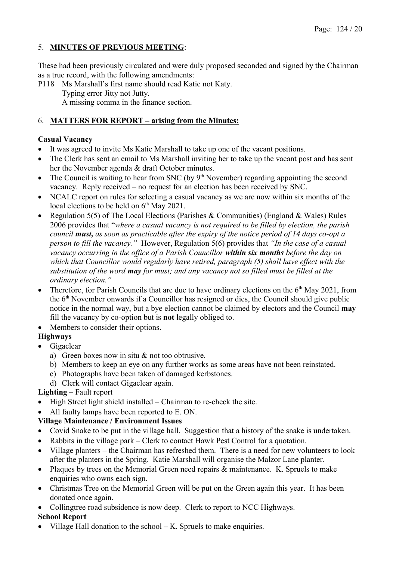## 5. **MINUTES OF PREVIOUS MEETING**:

These had been previously circulated and were duly proposed seconded and signed by the Chairman as a true record, with the following amendments:

P118 Ms Marshall's first name should read Katie not Katy. Typing error Jitty not Jutty. A missing comma in the finance section.

## 6. **MATTERS FOR REPORT – arising from the Minutes:**

## **Casual Vacancy**

- It was agreed to invite Ms Katie Marshall to take up one of the vacant positions.
- The Clerk has sent an email to Ms Marshall inviting her to take up the vacant post and has sent her the November agenda & draft October minutes.
- The Council is waiting to hear from SNC (by  $9<sup>th</sup>$  November) regarding appointing the second vacancy. Reply received – no request for an election has been received by SNC.
- NCALC report on rules for selecting a casual vacancy as we are now within six months of the local elections to be held on  $6<sup>th</sup>$  May 2021.
- Regulation 5(5) of The Local Elections (Parishes & Communities) (England & Wales) Rules 2006 provides that "*where a casual vacancy is not required to be filled by election, the parish council must, as soon as practicable after the expiry of the notice period of 14 days co-opt a person to fill the vacancy."* However, Regulation 5(6) provides that *"In the case of a casual vacancy occurring in the office of a Parish Councillor within six months before the day on which that Councillor would regularly have retired, paragraph (5) shall have effect with the substitution of the word may for must; and any vacancy not so filled must be filled at the ordinary election."*
- Therefore, for Parish Councils that are due to have ordinary elections on the  $6<sup>th</sup>$  May 2021, from the  $6<sup>th</sup>$  November onwards if a Councillor has resigned or dies, the Council should give public notice in the normal way, but a bye election cannot be claimed by electors and the Council **may** fill the vacancy by co-option but is **not** legally obliged to.
- Members to consider their options.

## **Highways**

- Gigaclear
	- a) Green boxes now in situ & not too obtrusive.
	- b) Members to keep an eye on any further works as some areas have not been reinstated.
	- c) Photographs have been taken of damaged kerbstones.
	- d) Clerk will contact Gigaclear again.

## **Lighting –** Fault report

- $\bullet$  High Street light shield installed Chairman to re-check the site.
- All faulty lamps have been reported to E. ON.

## **Village Maintenance / Environment Issues**

- Covid Snake to be put in the village hall. Suggestion that a history of the snake is undertaken.
- Rabbits in the village park Clerk to contact Hawk Pest Control for a quotation.
- Village planters the Chairman has refreshed them. There is a need for new volunteers to look after the planters in the Spring. Katie Marshall will organise the Malzor Lane planter.
- Plaques by trees on the Memorial Green need repairs & maintenance. K. Spruels to make enquiries who owns each sign.
- Christmas Tree on the Memorial Green will be put on the Green again this year. It has been donated once again.
- Collingtree road subsidence is now deep. Clerk to report to NCC Highways. **School Report**
- Village Hall donation to the school  $-K$ . Spruels to make enquiries.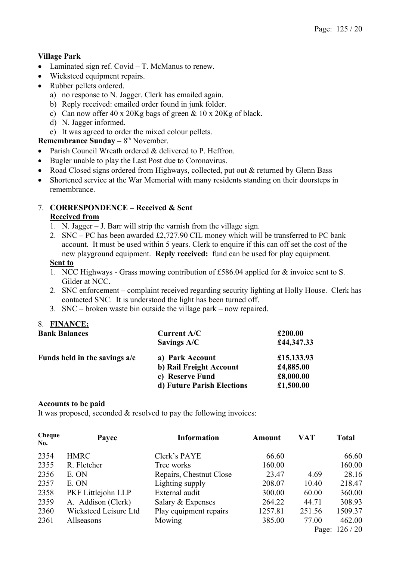## **Village Park**

- Laminated sign ref. Covid T. McManus to renew.
- Wicksteed equipment repairs.
- Rubber pellets ordered.
	- a) no response to N. Jagger. Clerk has emailed again.
	- b) Reply received: emailed order found in junk folder.
	- c) Can now offer 40 x 20Kg bags of green & 10 x 20Kg of black.
	- d) N. Jagger informed.
	- e) It was agreed to order the mixed colour pellets.

## **Remembrance Sunday – 8<sup>th</sup> November.**

- Parish Council Wreath ordered & delivered to P. Heffron.
- Bugler unable to play the Last Post due to Coronavirus.
- Road Closed signs ordered from Highways, collected, put out & returned by Glenn Bass
- Shortened service at the War Memorial with many residents standing on their doorsteps in remembrance.

## 7. **CORRESPONDENCE – Received & Sent**

#### **Received from**

- 1. N. Jagger J. Barr will strip the varnish from the village sign.
- 2. SNC PC has been awarded £2,727.90 CIL money which will be transferred to PC bank account. It must be used within 5 years. Clerk to enquire if this can off set the cost of the new playground equipment. **Reply received:** fund can be used for play equipment.

## **Sent to**

- 1. NCC Highways Grass mowing contribution of £586.04 applied for & invoice sent to S. Gilder at NCC.
- 2. SNC enforcement complaint received regarding security lighting at Holly House. Clerk has contacted SNC. It is understood the light has been turned off.
- 3. SNC broken waste bin outside the village park now repaired.

## 8. **FINANCE;**

| <b>Bank Balances</b>            | <b>Current A/C</b>         | £200.00    |
|---------------------------------|----------------------------|------------|
|                                 | Savings A/C                | £44,347.33 |
| Funds held in the savings $a/c$ | a) Park Account            | £15,133.93 |
|                                 | b) Rail Freight Account    | £4,885.00  |
|                                 | c) Reserve Fund            | £8,000.00  |
|                                 | d) Future Parish Elections | £1,500.00  |

#### **Accounts to be paid**

It was proposed, seconded & resolved to pay the following invoices:

| Cheque<br>No. | Payee                 | <b>Information</b>      | <b>Amount</b> | VAT    | <b>Total</b> |
|---------------|-----------------------|-------------------------|---------------|--------|--------------|
| 2354          | <b>HMRC</b>           | Clerk's PAYE            | 66.60         |        | 66.60        |
| 2355          | R. Fletcher           | Tree works              | 160.00        |        | 160.00       |
| 2356          | E. ON                 | Repairs, Chestnut Close | 23.47         | 4.69   | 28.16        |
| 2357          | E. ON                 | Lighting supply         | 208.07        | 10.40  | 218.47       |
| 2358          | PKF Littlejohn LLP    | External audit          | 300.00        | 60.00  | 360.00       |
| 2359          | A. Addison (Clerk)    | Salary & Expenses       | 264.22        | 44.71  | 308.93       |
| 2360          | Wicksteed Leisure Ltd | Play equipment repairs  | 1257.81       | 251.56 | 1509.37      |
| 2361          | Allseasons            | Mowing                  | 385.00        | 77.00  | 462.00       |
|               |                       |                         |               | Page:  | 126/20       |